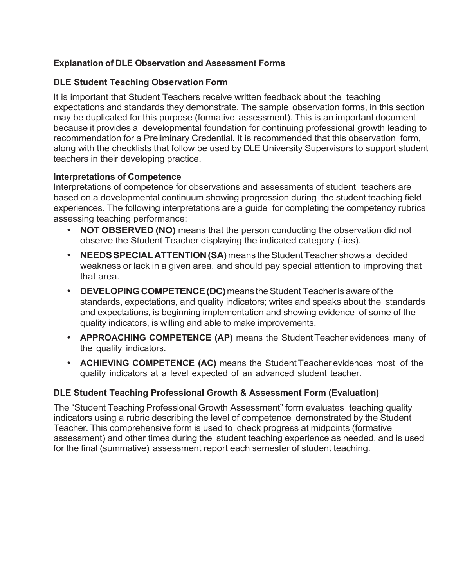# **Explanation of DLE Observation and Assessment Forms**

### **DLE Student Teaching Observation Form**

It is important that Student Teachers receive written feedback about the teaching expectations and standards they demonstrate. The sample observation forms, in this section may be duplicated for this purpose (formative assessment). This is an important document because it provides a developmental foundation for continuing professional growth leading to recommendation for a Preliminary Credential. It is recommended that this observation form, along with the checklists that follow be used by DLE University Supervisors to support student teachers in their developing practice.

### **Interpretations of Competence**

Interpretations of competence for observations and assessments of student teachers are based on a developmental continuum showing progression during the student teaching field experiences. The following interpretations are a guide for completing the competency rubrics assessing teaching performance:

- **NOT OBSERVED (NO)** means that the person conducting the observation did not observe the Student Teacher displaying the indicated category (-ies).
- **NEEDS SPECIAL ATTENTION (SA)** means the Student Teacher shows a decided weakness or lack in a given area, and should pay special attention to improving that that area.
- **DEVELOPING COMPETENCE (DC)** means the Student Teacher is aware of the standards, expectations, and quality indicators; writes and speaks about the standards and expectations, is beginning implementation and showing evidence of some of the quality indicators, is willing and able to make improvements.
- **APPROACHING COMPETENCE (AP)** means the StudentTeacher evidences many of the quality indicators.
- **ACHIEVING COMPETENCE (AC)** means the StudentTeacher evidences most of the quality indicators at a level expected of an advanced student teacher.

### **DLE Student Teaching Professional Growth & Assessment Form (Evaluation)**

The "Student Teaching Professional Growth Assessment" form evaluates teaching quality indicators using a rubric describing the level of competence demonstrated by the Student Teacher. This comprehensive form is used to check progress at midpoints (formative assessment) and other times during the student teaching experience as needed, and is used for the final (summative) assessment report each semester of student teaching.